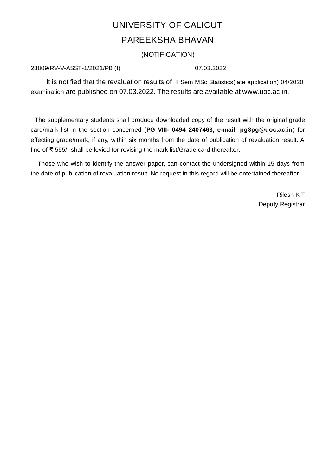# UNIVERSITY OF CALICUT PAREEKSHA BHAVAN

(NOTIFICATION)

### 28809/RV-V-ASST-1/2021/PB (I) 07.03.2022

It is notified that the revaluation results of II Sem MSc Statistics(late application) 04/2020 examination are published on 07.03.2022. The results are available at www.uoc.ac.in.

The supplementary students shall produce downloaded copy of the result with the original grade card/mark list in the section concerned (**PG VIII- 0494 2407463, e-mail: pg8pg@uoc.ac.in**) for effecting grade/mark, if any, within six months from the date of publication of revaluation result. A fine of ₹ 555/- shall be levied for revising the mark list/Grade card thereafter.

Those who wish to identify the answer paper, can contact the undersigned within 15 days from the date of publication of revaluation result. No request in this regard will be entertained thereafter.

> Rilesh K.T Deputy Registrar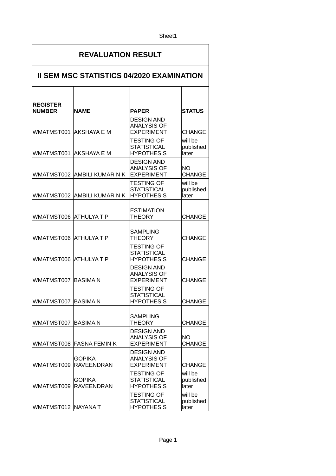#### Sheet1

## **REVALUATION RESULT**

#### **II SEM MSC STATISTICS 04/2020 EXAMINATION**  $\overline{\phantom{a}}$  $\top$  $\top$

| <b>REGISTER</b><br><b>NUMBER</b> | <b>NAME</b>                        | <b>PAPER</b>                                                 | <b>STATUS</b>                 |
|----------------------------------|------------------------------------|--------------------------------------------------------------|-------------------------------|
| WMATMST001 AKSHAYA E M           |                                    | <b>DESIGN AND</b><br><b>ANALYSIS OF</b><br><b>EXPERIMENT</b> | <b>CHANGE</b>                 |
| WMATMST001  AKSHAYA E M          |                                    | <b>TESTING OF</b><br><b>STATISTICAL</b><br><b>HYPOTHESIS</b> | will be<br>published<br>later |
| WMATMST002                       | AMBILI KUMAR N K                   | <b>DESIGN AND</b><br><b>ANALYSIS OF</b><br><b>EXPERIMENT</b> | NΟ<br><b>CHANGE</b>           |
|                                  | WMATMST002 AMBILI KUMAR N K        | <b>TESTING OF</b><br><b>STATISTICAL</b><br><b>HYPOTHESIS</b> | will be<br>published<br>later |
| WMATMST006 ATHULYA T P           |                                    | <b>ESTIMATION</b><br>THEORY                                  | <b>CHANGE</b>                 |
| WMATMST006 ATHULYA T P           |                                    | <b>SAMPLING</b><br><b>THEORY</b>                             | <b>CHANGE</b>                 |
| WMATMST006                       | <b>ATHULYAT P</b>                  | <b>TESTING OF</b><br><b>STATISTICAL</b><br><b>HYPOTHESIS</b> | <b>CHANGE</b>                 |
| WMATMST007                       | <b>BASIMAN</b>                     | <b>DESIGN AND</b><br><b>ANALYSIS OF</b><br><b>EXPERIMENT</b> | <b>CHANGE</b>                 |
| WMATMST007                       | <b>BASIMAN</b>                     | <b>TESTING OF</b><br><b>STATISTICAL</b><br><b>HYPOTHESIS</b> | <b>CHANGE</b>                 |
| WMATMST007                       | <b>BASIMAN</b>                     | <b>SAMPLING</b><br><b>THEORY</b>                             | <b>CHANGE</b>                 |
|                                  | WMATMST008 FASNA FEMIN K           | <b>DESIGN AND</b><br><b>ANALYSIS OF</b><br><b>EXPERIMENT</b> | <b>NO</b><br><b>CHANGE</b>    |
| WMATMST009                       | <b>GOPIKA</b><br><b>RAVEENDRAN</b> | <b>DESIGN AND</b><br><b>ANALYSIS OF</b><br><b>EXPERIMENT</b> | CHANGE                        |
| WMATMST009                       | <b>GOPIKA</b><br><b>RAVEENDRAN</b> | <b>TESTING OF</b><br><b>STATISTICAL</b><br><b>HYPOTHESIS</b> | will be<br>published<br>later |
| WMATMST012 NAYANA T              |                                    | <b>TESTING OF</b><br><b>STATISTICAL</b><br><b>HYPOTHESIS</b> | will be<br>published<br>later |